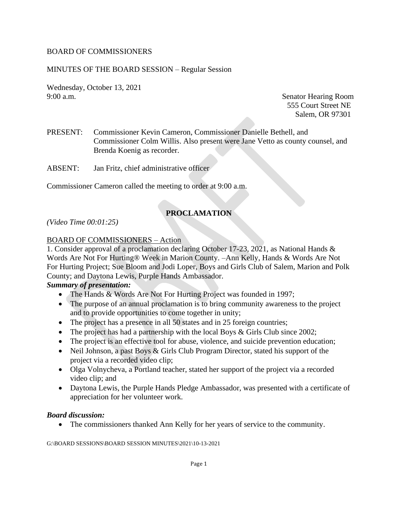## BOARD OF COMMISSIONERS

### MINUTES OF THE BOARD SESSION – Regular Session

Wednesday, October 13, 2021 9:00 a.m. Senator Hearing Room

555 Court Street NE Salem, OR 97301

- PRESENT: Commissioner Kevin Cameron, Commissioner Danielle Bethell, and Commissioner Colm Willis. Also present were Jane Vetto as county counsel, and Brenda Koenig as recorder.
- ABSENT: Jan Fritz, chief administrative officer

Commissioner Cameron called the meeting to order at 9:00 a.m.

# **PROCLAMATION**

*(Video Time 00:01:25)*

#### BOARD OF COMMISSIONERS – Action

1. Consider approval of a proclamation declaring October 17-23, 2021, as National Hands & Words Are Not For Hurting® Week in Marion County. –Ann Kelly, Hands & Words Are Not For Hurting Project; Sue Bloom and Jodi Loper, Boys and Girls Club of Salem, Marion and Polk County; and Daytona Lewis, Purple Hands Ambassador.

# *Summary of presentation:*

- The Hands & Words Are Not For Hurting Project was founded in 1997;
- The purpose of an annual proclamation is to bring community awareness to the project and to provide opportunities to come together in unity;
- The project has a presence in all 50 states and in 25 foreign countries;
- The project has had a partnership with the local Boys & Girls Club since 2002;
- The project is an effective tool for abuse, violence, and suicide prevention education;
- Neil Johnson, a past Boys & Girls Club Program Director, stated his support of the project via a recorded video clip;
- Olga Volnycheva, a Portland teacher, stated her support of the project via a recorded video clip; and
- Daytona Lewis, the Purple Hands Pledge Ambassador, was presented with a certificate of appreciation for her volunteer work.

#### *Board discussion:*

• The commissioners thanked Ann Kelly for her years of service to the community.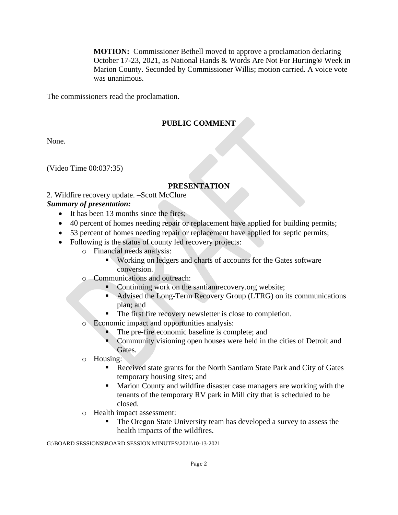**MOTION:** Commissioner Bethell moved to approve a proclamation declaring October 17-23, 2021, as National Hands & Words Are Not For Hurting® Week in Marion County. Seconded by Commissioner Willis; motion carried. A voice vote was unanimous.

The commissioners read the proclamation.

# **PUBLIC COMMENT**

None.

(Video Time 00:037:35)

# **PRESENTATION**

2. Wildfire recovery update. –Scott McClure

### *Summary of presentation:*

- It has been 13 months since the fires;
- 40 percent of homes needing repair or replacement have applied for building permits;
- 53 percent of homes needing repair or replacement have applied for septic permits;
- Following is the status of county led recovery projects:
	- o Financial needs analysis:
		- Working on ledgers and charts of accounts for the Gates software conversion.
	- o Communications and outreach:
		- Continuing work on the santiamrecovery.org website;
		- Advised the Long-Term Recovery Group (LTRG) on its communications plan; and
		- The first fire recovery newsletter is close to completion.
	- o Economic impact and opportunities analysis:
		- The pre-fire economic baseline is complete; and
		- Community visioning open houses were held in the cities of Detroit and Gates.
	- o Housing:
		- Received state grants for the North Santiam State Park and City of Gates temporary housing sites; and
		- Marion County and wildfire disaster case managers are working with the tenants of the temporary RV park in Mill city that is scheduled to be closed.
	- o Health impact assessment:
		- The Oregon State University team has developed a survey to assess the health impacts of the wildfires.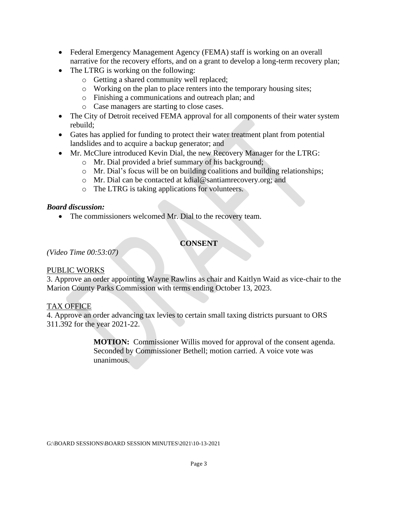- Federal Emergency Management Agency (FEMA) staff is working on an overall narrative for the recovery efforts, and on a grant to develop a long-term recovery plan;
- The LTRG is working on the following:
	- o Getting a shared community well replaced;
	- o Working on the plan to place renters into the temporary housing sites;
	- o Finishing a communications and outreach plan; and
	- o Case managers are starting to close cases.
- The City of Detroit received FEMA approval for all components of their water system rebuild;
- Gates has applied for funding to protect their water treatment plant from potential landslides and to acquire a backup generator; and
- Mr. McClure introduced Kevin Dial, the new Recovery Manager for the LTRG:
	- o Mr. Dial provided a brief summary of his background;
	- o Mr. Dial's focus will be on building coalitions and building relationships;
	- o Mr. Dial can be contacted at kdial@santiamrecovery.org; and
	- o The LTRG is taking applications for volunteers.

# *Board discussion:*

• The commissioners welcomed Mr. Dial to the recovery team.

# **CONSENT**

*(Video Time 00:53:07)*

# PUBLIC WORKS

3. Approve an order appointing Wayne Rawlins as chair and Kaitlyn Waid as vice-chair to the Marion County Parks Commission with terms ending October 13, 2023.

# TAX OFFICE

4. Approve an order advancing tax levies to certain small taxing districts pursuant to ORS 311.392 for the year 2021-22.

> **MOTION:** Commissioner Willis moved for approval of the consent agenda. Seconded by Commissioner Bethell; motion carried. A voice vote was unanimous.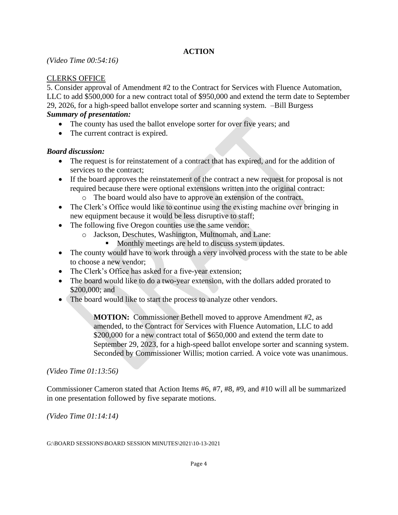# **ACTION**

### *(Video Time 00:54:16)*

## CLERKS OFFICE

5. Consider approval of Amendment #2 to the Contract for Services with Fluence Automation, LLC to add \$500,000 for a new contract total of \$950,000 and extend the term date to September 29, 2026, for a high-speed ballot envelope sorter and scanning system. –Bill Burgess *Summary of presentation:* 

- The county has used the ballot envelope sorter for over five years; and
- The current contract is expired.

### *Board discussion:*

- The request is for reinstatement of a contract that has expired, and for the addition of services to the contract;
- If the board approves the reinstatement of the contract a new request for proposal is not required because there were optional extensions written into the original contract:
	- o The board would also have to approve an extension of the contract.
- The Clerk's Office would like to continue using the existing machine over bringing in new equipment because it would be less disruptive to staff;
- The following five Oregon counties use the same vendor:
	- o Jackson, Deschutes, Washington, Multnomah, and Lane:
		- Monthly meetings are held to discuss system updates.
- The county would have to work through a very involved process with the state to be able to choose a new vendor;
- The Clerk's Office has asked for a five-year extension;
- The board would like to do a two-year extension, with the dollars added prorated to \$200,000; and
- The board would like to start the process to analyze other vendors.

**MOTION:** Commissioner Bethell moved to approve Amendment #2, as amended, to the Contract for Services with Fluence Automation, LLC to add \$200,000 for a new contract total of \$650,000 and extend the term date to September 29, 2023, for a high-speed ballot envelope sorter and scanning system. Seconded by Commissioner Willis; motion carried. A voice vote was unanimous.

#### *(Video Time 01:13:56)*

Commissioner Cameron stated that Action Items #6, #7, #8, #9, and #10 will all be summarized in one presentation followed by five separate motions.

*(Video Time 01:14:14)*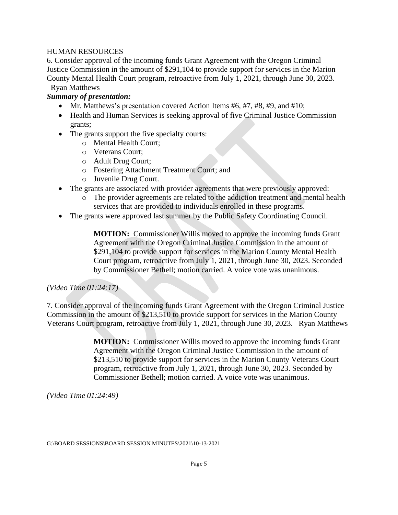### HUMAN RESOURCES

6. Consider approval of the incoming funds Grant Agreement with the Oregon Criminal Justice Commission in the amount of \$291,104 to provide support for services in the Marion County Mental Health Court program, retroactive from July 1, 2021, through June 30, 2023. –Ryan Matthews

## *Summary of presentation:*

- Mr. Matthews's presentation covered Action Items #6, #7, #8, #9, and #10;
- Health and Human Services is seeking approval of five Criminal Justice Commission grants;
- The grants support the five specialty courts:
	- o Mental Health Court;
	- o Veterans Court;
	- o Adult Drug Court;
	- o Fostering Attachment Treatment Court; and
	- o Juvenile Drug Court.
- The grants are associated with provider agreements that were previously approved:
	- o The provider agreements are related to the addiction treatment and mental health services that are provided to individuals enrolled in these programs.
- The grants were approved last summer by the Public Safety Coordinating Council.

**MOTION:** Commissioner Willis moved to approve the incoming funds Grant Agreement with the Oregon Criminal Justice Commission in the amount of \$291,104 to provide support for services in the Marion County Mental Health Court program, retroactive from July 1, 2021, through June 30, 2023. Seconded by Commissioner Bethell; motion carried. A voice vote was unanimous.

#### *(Video Time 01:24:17)*

7. Consider approval of the incoming funds Grant Agreement with the Oregon Criminal Justice Commission in the amount of \$213,510 to provide support for services in the Marion County Veterans Court program, retroactive from July 1, 2021, through June 30, 2023. –Ryan Matthews

> **MOTION:** Commissioner Willis moved to approve the incoming funds Grant Agreement with the Oregon Criminal Justice Commission in the amount of \$213,510 to provide support for services in the Marion County Veterans Court program, retroactive from July 1, 2021, through June 30, 2023. Seconded by Commissioner Bethell; motion carried. A voice vote was unanimous.

*(Video Time 01:24:49)*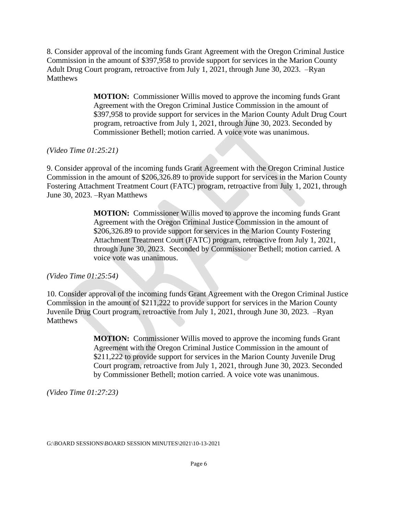8. Consider approval of the incoming funds Grant Agreement with the Oregon Criminal Justice Commission in the amount of \$397,958 to provide support for services in the Marion County Adult Drug Court program, retroactive from July 1, 2021, through June 30, 2023. –Ryan Matthews

> **MOTION:** Commissioner Willis moved to approve the incoming funds Grant Agreement with the Oregon Criminal Justice Commission in the amount of \$397,958 to provide support for services in the Marion County Adult Drug Court program, retroactive from July 1, 2021, through June 30, 2023. Seconded by Commissioner Bethell; motion carried. A voice vote was unanimous.

*(Video Time 01:25:21)*

9. Consider approval of the incoming funds Grant Agreement with the Oregon Criminal Justice Commission in the amount of \$206,326.89 to provide support for services in the Marion County Fostering Attachment Treatment Court (FATC) program, retroactive from July 1, 2021, through June 30, 2023. –Ryan Matthews

> **MOTION:** Commissioner Willis moved to approve the incoming funds Grant Agreement with the Oregon Criminal Justice Commission in the amount of \$206,326.89 to provide support for services in the Marion County Fostering Attachment Treatment Court (FATC) program, retroactive from July 1, 2021, through June 30, 2023. Seconded by Commissioner Bethell; motion carried. A voice vote was unanimous.

*(Video Time 01:25:54)*

10. Consider approval of the incoming funds Grant Agreement with the Oregon Criminal Justice Commission in the amount of \$211,222 to provide support for services in the Marion County Juvenile Drug Court program, retroactive from July 1, 2021, through June 30, 2023. –Ryan **Matthews** 

> **MOTION:** Commissioner Willis moved to approve the incoming funds Grant Agreement with the Oregon Criminal Justice Commission in the amount of \$211,222 to provide support for services in the Marion County Juvenile Drug Court program, retroactive from July 1, 2021, through June 30, 2023. Seconded by Commissioner Bethell; motion carried. A voice vote was unanimous.

*(Video Time 01:27:23)*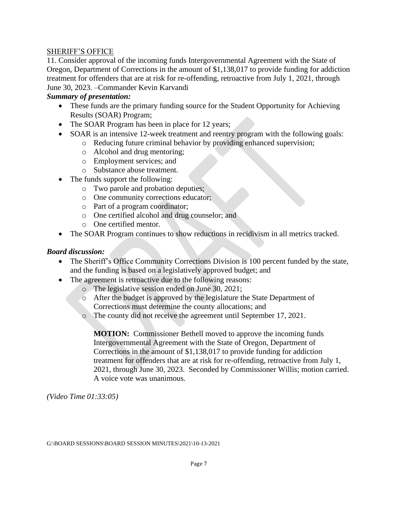#### SHERIFF'S OFFICE

11. Consider approval of the incoming funds Intergovernmental Agreement with the State of Oregon, Department of Corrections in the amount of \$1,138,017 to provide funding for addiction treatment for offenders that are at risk for re-offending, retroactive from July 1, 2021, through June 30, 2023. –Commander Kevin Karvandi

## *Summary of presentation:*

- These funds are the primary funding source for the Student Opportunity for Achieving Results (SOAR) Program;
- The SOAR Program has been in place for 12 years;
- SOAR is an intensive 12-week treatment and reentry program with the following goals:
	- o Reducing future criminal behavior by providing enhanced supervision;
	- o Alcohol and drug mentoring;
	- o Employment services; and
	- o Substance abuse treatment.
- The funds support the following:
	- o Two parole and probation deputies;
	- o One community corrections educator;
	- o Part of a program coordinator;
	- o One certified alcohol and drug counselor; and
	- o One certified mentor.
- The SOAR Program continues to show reductions in recidivism in all metrics tracked.

### *Board discussion:*

- The Sheriff's Office Community Corrections Division is 100 percent funded by the state, and the funding is based on a legislatively approved budget; and
- The agreement is retroactive due to the following reasons:
	- o The legislative session ended on June 30, 2021;
	- o After the budget is approved by the legislature the State Department of Corrections must determine the county allocations; and
	- o The county did not receive the agreement until September 17, 2021.

**MOTION:** Commissioner Bethell moved to approve the incoming funds Intergovernmental Agreement with the State of Oregon, Department of Corrections in the amount of \$1,138,017 to provide funding for addiction treatment for offenders that are at risk for re-offending, retroactive from July 1, 2021, through June 30, 2023. Seconded by Commissioner Willis; motion carried. A voice vote was unanimous.

*(Video Time 01:33:05)*